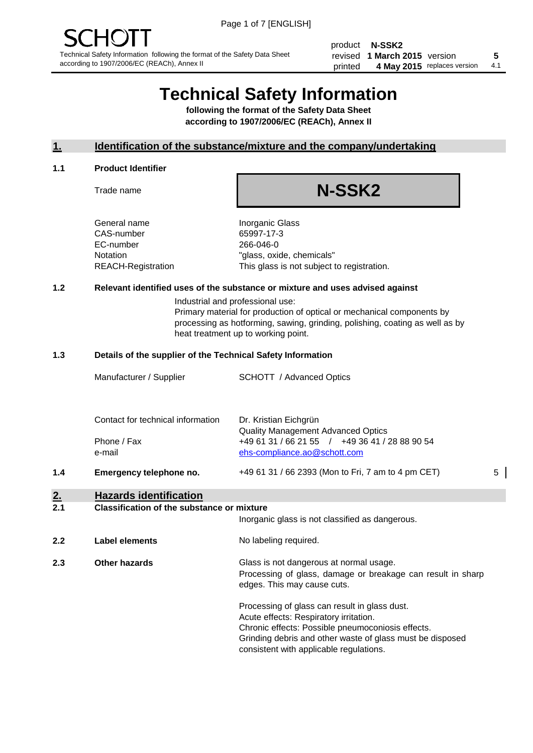product **N-SSK2** revised **5 1 March 2015** version printed 4 May 2015 replaces version 4.1

# **Technical Safety Information**

**following the format of the Safety Data Sheet according to 1907/2006/EC (REACh), Annex II**

# **1. Identification of the substance/mixture and the company/undertaking**

#### **1.1 Product Identifier**

Trade name

# **N-SSK2**

General name **Inorganic Glass** CAS-number 65997-17-3 EC-number 266-046-0

Notation "glass, oxide, chemicals" REACH-Registration This glass is not subject to registration.

# **1.2 Relevant identified uses of the substance or mixture and uses advised against**

Industrial and professional use: Primary material for production of optical or mechanical components by processing as hotforming, sawing, grinding, polishing, coating as well as by heat treatment up to working point.

#### **1.3 Details of the supplier of the Technical Safety Information**

|     | Manufacturer / Supplier           | <b>SCHOTT</b> / Advanced Optics                                                             |   |
|-----|-----------------------------------|---------------------------------------------------------------------------------------------|---|
|     |                                   |                                                                                             |   |
|     | Contact for technical information | Dr. Kristian Eichgrün                                                                       |   |
|     | Phone / Fax                       | <b>Quality Management Advanced Optics</b><br>+49 61 31 / 66 21 55 / +49 36 41 / 28 88 90 54 |   |
|     | e-mail                            | ehs-compliance.ao@schott.com                                                                |   |
| 1.4 | Emergency telephone no.           | +49 61 31 / 66 2393 (Mon to Fri, 7 am to 4 pm CET)                                          | 5 |
|     |                                   |                                                                                             |   |

# **2. Hazards identification**

#### **2.1 Classification of the substance or mixture**

|     |                      | Inorganic glass is not classified as dangerous.                                                                                                                                                           |
|-----|----------------------|-----------------------------------------------------------------------------------------------------------------------------------------------------------------------------------------------------------|
| 2.2 | Label elements       | No labeling required.                                                                                                                                                                                     |
| 2.3 | <b>Other hazards</b> | Glass is not dangerous at normal usage.<br>Processing of glass, damage or breakage can result in sharp<br>edges. This may cause cuts.                                                                     |
|     |                      | Processing of glass can result in glass dust.<br>Acute effects: Respiratory irritation.<br>Chronic effects: Possible pneumoconiosis effects.<br>Grinding debris and other waste of glass must be disposed |

consistent with applicable regulations.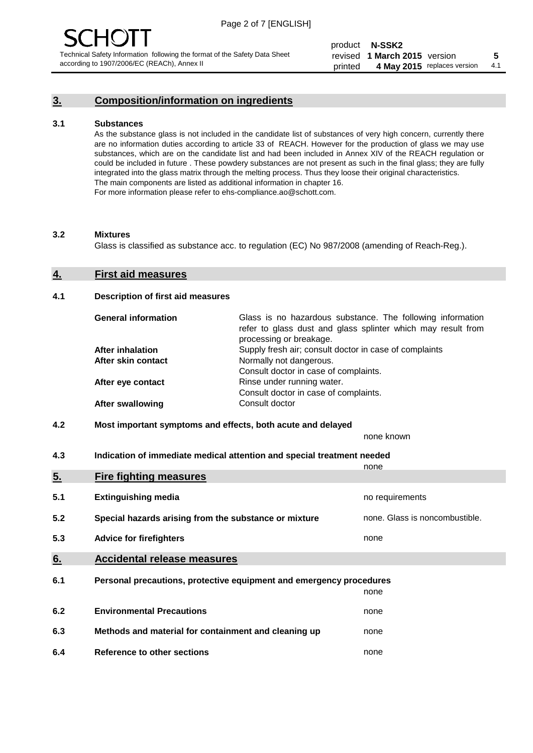# **3. Composition/information on ingredients**

#### **3.1 Substances**

As the substance glass is not included in the candidate list of substances of very high concern, currently there are no information duties according to article 33 of REACH. However for the production of glass we may use substances, which are on the candidate list and had been included in Annex XIV of the REACH regulation or could be included in future . These powdery substances are not present as such in the final glass; they are fully integrated into the glass matrix through the melting process. Thus they loose their original characteristics. The main components are listed as additional information in chapter 16. For more information please refer to ehs-compliance.ao@schott.com.

#### **3.2 Mixtures**

Glass is classified as substance acc. to regulation (EC) No 987/2008 (amending of Reach-Reg.).

#### **4. First aid measures**

#### **4.1 Description of first aid measures**

| <b>General information</b> | Glass is no hazardous substance. The following information<br>refer to glass dust and glass splinter which may result from<br>processing or breakage. |
|----------------------------|-------------------------------------------------------------------------------------------------------------------------------------------------------|
| <b>After inhalation</b>    | Supply fresh air; consult doctor in case of complaints                                                                                                |
| After skin contact         | Normally not dangerous.                                                                                                                               |
|                            | Consult doctor in case of complaints.                                                                                                                 |
| After eye contact          | Rinse under running water.                                                                                                                            |
|                            | Consult doctor in case of complaints.                                                                                                                 |
| <b>After swallowing</b>    | Consult doctor                                                                                                                                        |

### **4.2 Most important symptoms and effects, both acute and delayed**

none known

**4.3 Indication of immediate medical attention and special treatment needed** 

|     |                                                                     | none                           |  |
|-----|---------------------------------------------------------------------|--------------------------------|--|
| 5.  | <b>Fire fighting measures</b>                                       |                                |  |
| 5.1 | <b>Extinguishing media</b>                                          | no requirements                |  |
| 5.2 | Special hazards arising from the substance or mixture               | none. Glass is noncombustible. |  |
| 5.3 | <b>Advice for firefighters</b>                                      | none                           |  |
| 6.  | <b>Accidental release measures</b>                                  |                                |  |
| 6.1 | Personal precautions, protective equipment and emergency procedures |                                |  |
|     |                                                                     | none                           |  |
| 6.2 | <b>Environmental Precautions</b>                                    | none                           |  |
| 6.3 | Methods and material for containment and cleaning up                | none                           |  |
| 6.4 | Reference to other sections                                         | none                           |  |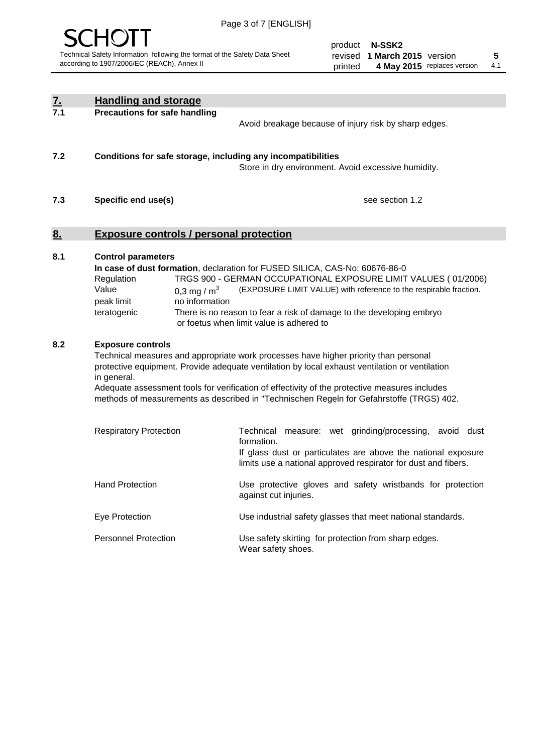

product **N-SSK2** revised **5 1 March 2015** version printed 4 May 2015 replaces version 4.1

| <u>7.</u><br>7.1 | <b>Handling and storage</b>                                                                                      |                                                                                                                                                                                                                                                                                                                                                                                     |
|------------------|------------------------------------------------------------------------------------------------------------------|-------------------------------------------------------------------------------------------------------------------------------------------------------------------------------------------------------------------------------------------------------------------------------------------------------------------------------------------------------------------------------------|
|                  | <b>Precautions for safe handling</b>                                                                             | Avoid breakage because of injury risk by sharp edges.                                                                                                                                                                                                                                                                                                                               |
| 7.2              | Conditions for safe storage, including any incompatibilities                                                     | Store in dry environment. Avoid excessive humidity.                                                                                                                                                                                                                                                                                                                                 |
| 7.3              | Specific end use(s)                                                                                              | see section 1.2                                                                                                                                                                                                                                                                                                                                                                     |
| <u>8.</u>        | <b>Exposure controls / personal protection</b>                                                                   |                                                                                                                                                                                                                                                                                                                                                                                     |
| 8.1              | <b>Control parameters</b><br>Regulation<br>Value<br>0,3 mg / $m3$<br>peak limit<br>no information<br>teratogenic | In case of dust formation, declaration for FUSED SILICA, CAS-No: 60676-86-0<br>TRGS 900 - GERMAN OCCUPATIONAL EXPOSURE LIMIT VALUES (01/2006)<br>(EXPOSURE LIMIT VALUE) with reference to the respirable fraction.<br>There is no reason to fear a risk of damage to the developing embryo<br>or foetus when limit value is adhered to                                              |
| 8.2              | <b>Exposure controls</b><br>in general.                                                                          | Technical measures and appropriate work processes have higher priority than personal<br>protective equipment. Provide adequate ventilation by local exhaust ventilation or ventilation<br>Adequate assessment tools for verification of effectivity of the protective measures includes<br>methods of measurements as described in "Technischen Regeln for Gefahrstoffe (TRGS) 402. |
|                  | <b>Respiratory Protection</b>                                                                                    | Technical measure: wet grinding/processing, avoid dust<br>formation.<br>If glass dust or particulates are above the national exposure<br>limits use a national approved respirator for dust and fibers.                                                                                                                                                                             |
|                  | <b>Hand Protection</b>                                                                                           | Use protective gloves and safety wristbands for protection<br>against cut injuries.                                                                                                                                                                                                                                                                                                 |
|                  | Eye Protection                                                                                                   | Use industrial safety glasses that meet national standards.                                                                                                                                                                                                                                                                                                                         |
|                  | <b>Personnel Protection</b>                                                                                      | Use safety skirting for protection from sharp edges.<br>Wear safety shoes.                                                                                                                                                                                                                                                                                                          |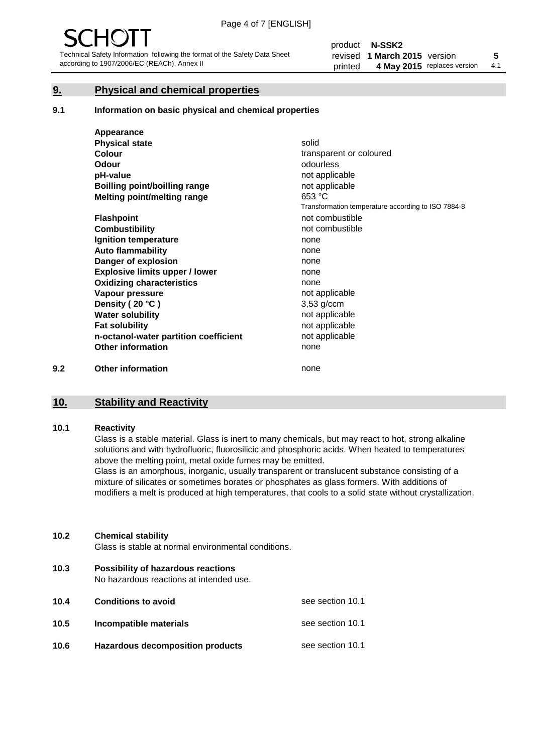# **9. Physical and chemical properties**

#### **9.1 Information on basic physical and chemical properties**

|     | Appearance                            |                                                    |
|-----|---------------------------------------|----------------------------------------------------|
|     | <b>Physical state</b>                 | solid                                              |
|     | <b>Colour</b>                         | transparent or coloured                            |
|     | <b>Odour</b>                          | odourless                                          |
|     | pH-value                              | not applicable                                     |
|     | <b>Boilling point/boilling range</b>  | not applicable                                     |
|     | Melting point/melting range           | 653 °C                                             |
|     |                                       | Transformation temperature according to ISO 7884-8 |
|     | <b>Flashpoint</b>                     | not combustible                                    |
|     | <b>Combustibility</b>                 | not combustible                                    |
|     | Ignition temperature                  | none                                               |
|     | <b>Auto flammability</b>              | none                                               |
|     | Danger of explosion                   | none                                               |
|     | <b>Explosive limits upper / lower</b> | none                                               |
|     | <b>Oxidizing characteristics</b>      | none                                               |
|     | Vapour pressure                       | not applicable                                     |
|     | Density (20 °C)                       | $3,53$ g/ccm                                       |
|     | <b>Water solubility</b>               | not applicable                                     |
|     | <b>Fat solubility</b>                 | not applicable                                     |
|     | n-octanol-water partition coefficient | not applicable                                     |
|     | <b>Other information</b>              | none                                               |
| 9.2 | <b>Other information</b>              | none                                               |

# **10. Stability and Reactivity**

#### **10.1 Reactivity**

Glass is a stable material. Glass is inert to many chemicals, but may react to hot, strong alkaline solutions and with hydrofluoric, fluorosilicic and phosphoric acids. When heated to temperatures above the melting point, metal oxide fumes may be emitted.

Glass is an amorphous, inorganic, usually transparent or translucent substance consisting of a mixture of silicates or sometimes borates or phosphates as glass formers. With additions of modifiers a melt is produced at high temperatures, that cools to a solid state without crystallization.

### **10.2 Chemical stability**

Glass is stable at normal environmental conditions.

**10.3 Possibility of hazardous reactions** 

No hazardous reactions at intended use.

| 10.4 | <b>Conditions to avoid</b>       | see section 10.1 |
|------|----------------------------------|------------------|
| 10.5 | Incompatible materials           | see section 10.1 |
| 10.6 | Hazardous decomposition products | see section 10.1 |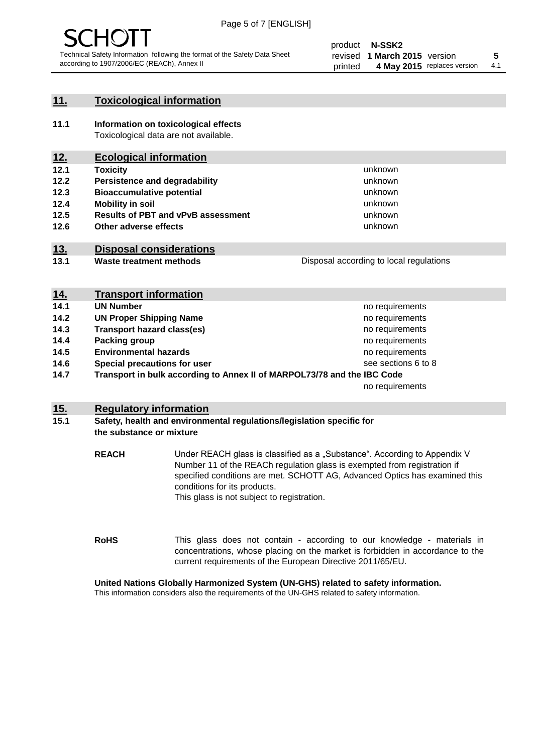

# **11. Toxicological information**

**11.1 Information on toxicological effects** Toxicological data are not available.

# **12. Ecological information**

- **12.1 Toxicity**
- **12.2 Persistence and degradability**
- **12.3 Bioaccumulative potential**
- **12.4 Mobility in soil**
- **12.5 Results of PBT and vPvB assessment**
- **12.6 Other adverse effects**

# **13. Disposal considerations**

**13.1 Waste treatment methods**

| Disposal according to local regulations |
|-----------------------------------------|
|                                         |

unknown unknown unknown unknown

unknown unknown

| <u>14.</u> | <b>Transport information</b>                                            |                     |
|------------|-------------------------------------------------------------------------|---------------------|
| 14.1       | <b>UN Number</b>                                                        | no requirements     |
| 14.2       | <b>UN Proper Shipping Name</b>                                          | no requirements     |
| 14.3       | <b>Transport hazard class(es)</b>                                       | no requirements     |
| 14.4       | Packing group                                                           | no requirements     |
| 14.5       | <b>Environmental hazards</b>                                            | no requirements     |
| 14.6       | Special precautions for user                                            | see sections 6 to 8 |
| 14.7       | Transport in bulk according to Annex II of MARPOL73/78 and the IBC Code |                     |
|            |                                                                         | no requirements     |

### **15. Regulatory information**

### **15.1 Safety, health and environmental regulations/legislation specific for the substance or mixture**

**REACH** Under REACH glass is classified as a "Substance". According to Appendix V Number 11 of the REACh regulation glass is exempted from registration if specified conditions are met. SCHOTT AG, Advanced Optics has examined this conditions for its products. This glass is not subject to registration.

**RoHS** This glass does not contain - according to our knowledge - materials in concentrations, whose placing on the market is forbidden in accordance to the current requirements of the European Directive 2011/65/EU.

#### **United Nations Globally Harmonized System (UN-GHS) related to safety information.**

This information considers also the requirements of the UN-GHS related to safety information.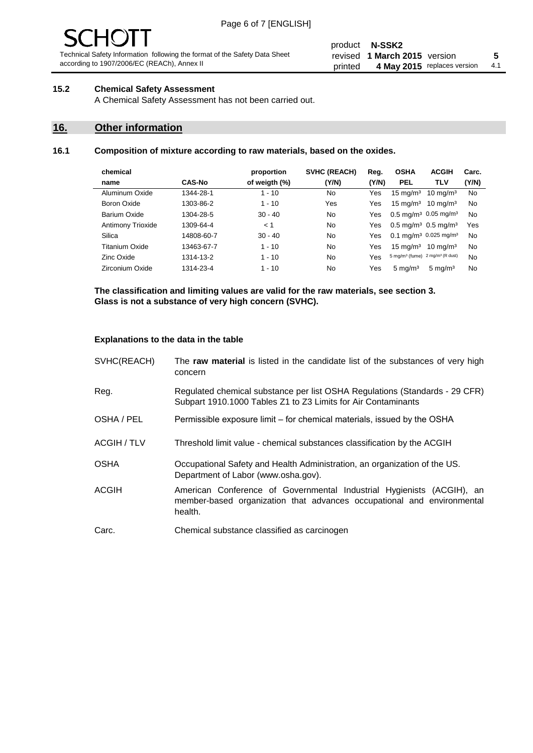#### product **N-SSK2** revised **5 1 March 2015** version printed 4 May 2015 replaces version 4.1

# **15.2 Chemical Safety Assessment**

A Chemical Safety Assessment has not been carried out.

# **16. Other information**

### **16.1 Composition of mixture according to raw materials, based on the oxides.**

| chemical                 |               | proportion    | <b>SVHC (REACH)</b> | Reg.  | <b>OSHA</b>                                             | <b>ACGIH</b>        | Carc. |
|--------------------------|---------------|---------------|---------------------|-------|---------------------------------------------------------|---------------------|-------|
| name                     | <b>CAS-No</b> | of weigth (%) | (Y/N)               | (Y/N) | <b>PEL</b>                                              | <b>TLV</b>          | (Y/N) |
| Aluminum Oxide           | 1344-28-1     | $1 - 10$      | No                  | Yes   | $15 \text{ mg/m}^3$                                     | $10 \text{ mg/m}^3$ | No    |
| Boron Oxide              | 1303-86-2     | $1 - 10$      | Yes                 | Yes   | $15 \text{ mg/m}^3$                                     | $10 \text{ ma/m}^3$ | No    |
| Barium Oxide             | 1304-28-5     | $30 - 40$     | N <sub>0</sub>      | Yes   | $0.5 \text{ mg/m}^3$ 0.05 mg/m <sup>3</sup>             |                     | No    |
| <b>Antimony Trioxide</b> | 1309-64-4     | < 1           | N <sub>0</sub>      | Yes   | $0.5 \,\mathrm{mq/m^3}$ 0.5 mg/m <sup>3</sup>           |                     | Yes   |
| Silica                   | 14808-60-7    | $30 - 40$     | No                  | Yes   | 0.1 mg/m <sup>3</sup> 0.025 mg/m <sup>3</sup>           |                     | No    |
| Titanium Oxide           | 13463-67-7    | $1 - 10$      | N <sub>0</sub>      | Yes   | $15 \text{ mg/m}^3$                                     | $10 \text{ ma/m}^3$ | No    |
| Zinc Oxide               | 1314-13-2     | $1 - 10$      | N <sub>0</sub>      | Yes   | 5 mg/m <sup>3</sup> (fume) 2 mg/m <sup>3</sup> (R dust) |                     | No    |
| Zirconium Oxide          | 1314-23-4     | $1 - 10$      | No                  | Yes   | $5 \text{ mg/m}^3$                                      | $5 \text{ mg/m}^3$  | No    |
|                          |               |               |                     |       |                                                         |                     |       |

**The classification and limiting values are valid for the raw materials, see section 3. Glass is not a substance of very high concern (SVHC).**

#### **Explanations to the data in the table**

| SVHC(REACH)        | The raw material is listed in the candidate list of the substances of very high<br>concern                                                                 |
|--------------------|------------------------------------------------------------------------------------------------------------------------------------------------------------|
| Reg.               | Regulated chemical substance per list OSHA Regulations (Standards - 29 CFR)<br>Subpart 1910.1000 Tables Z1 to Z3 Limits for Air Contaminants               |
| OSHA / PEL         | Permissible exposure limit – for chemical materials, issued by the OSHA                                                                                    |
| <b>ACGIH / TLV</b> | Threshold limit value - chemical substances classification by the ACGIH                                                                                    |
| <b>OSHA</b>        | Occupational Safety and Health Administration, an organization of the US.<br>Department of Labor (www.osha.gov).                                           |
| <b>ACGIH</b>       | American Conference of Governmental Industrial Hygienists (ACGIH), an<br>member-based organization that advances occupational and environmental<br>health. |
| Carc.              | Chemical substance classified as carcinogen                                                                                                                |